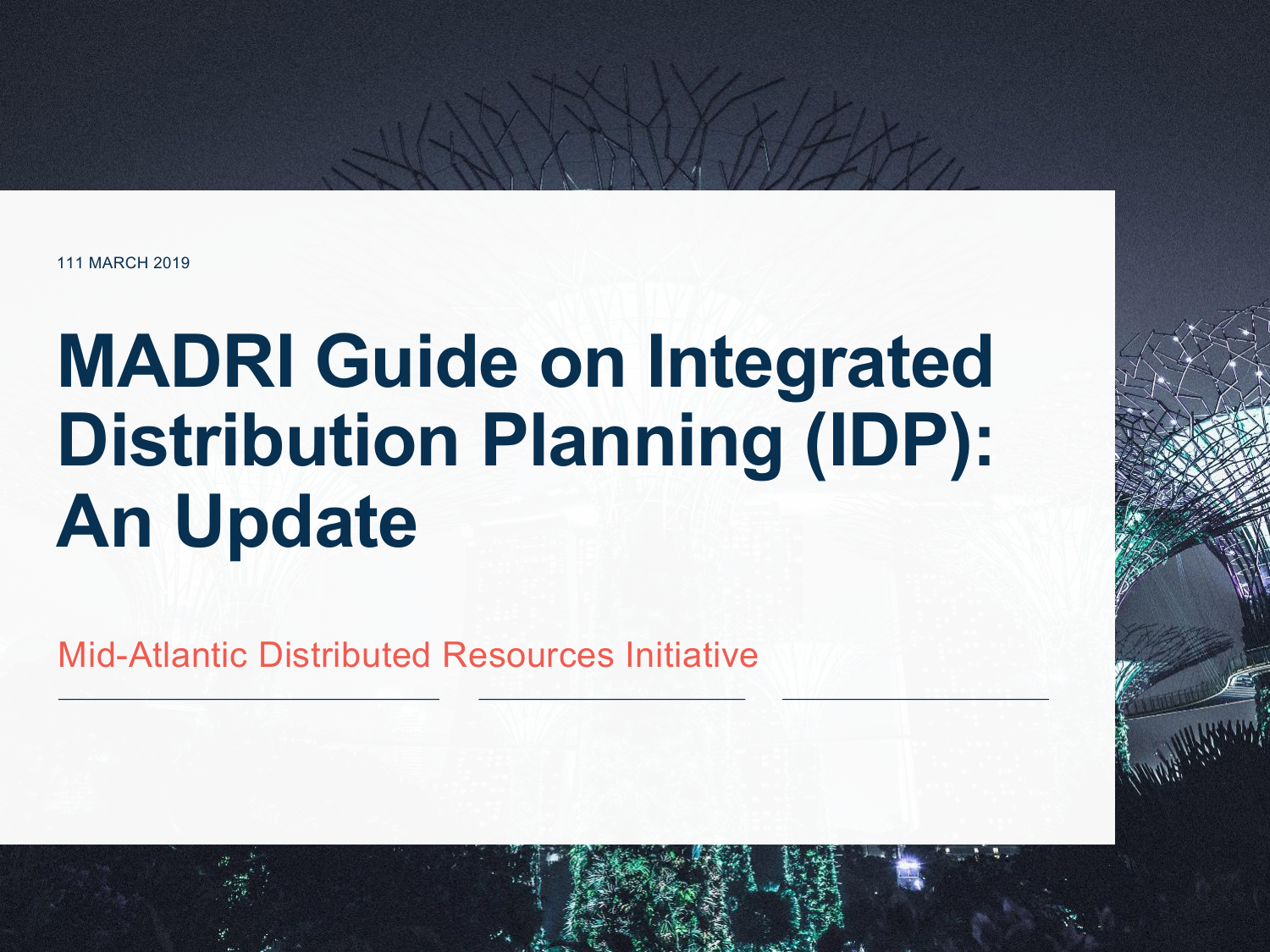111 MARCH 2019

## **MADRI Guide on Integrated Distribution Planning (IDP): An Update**

Mid-Atlantic Distributed Resources Initiative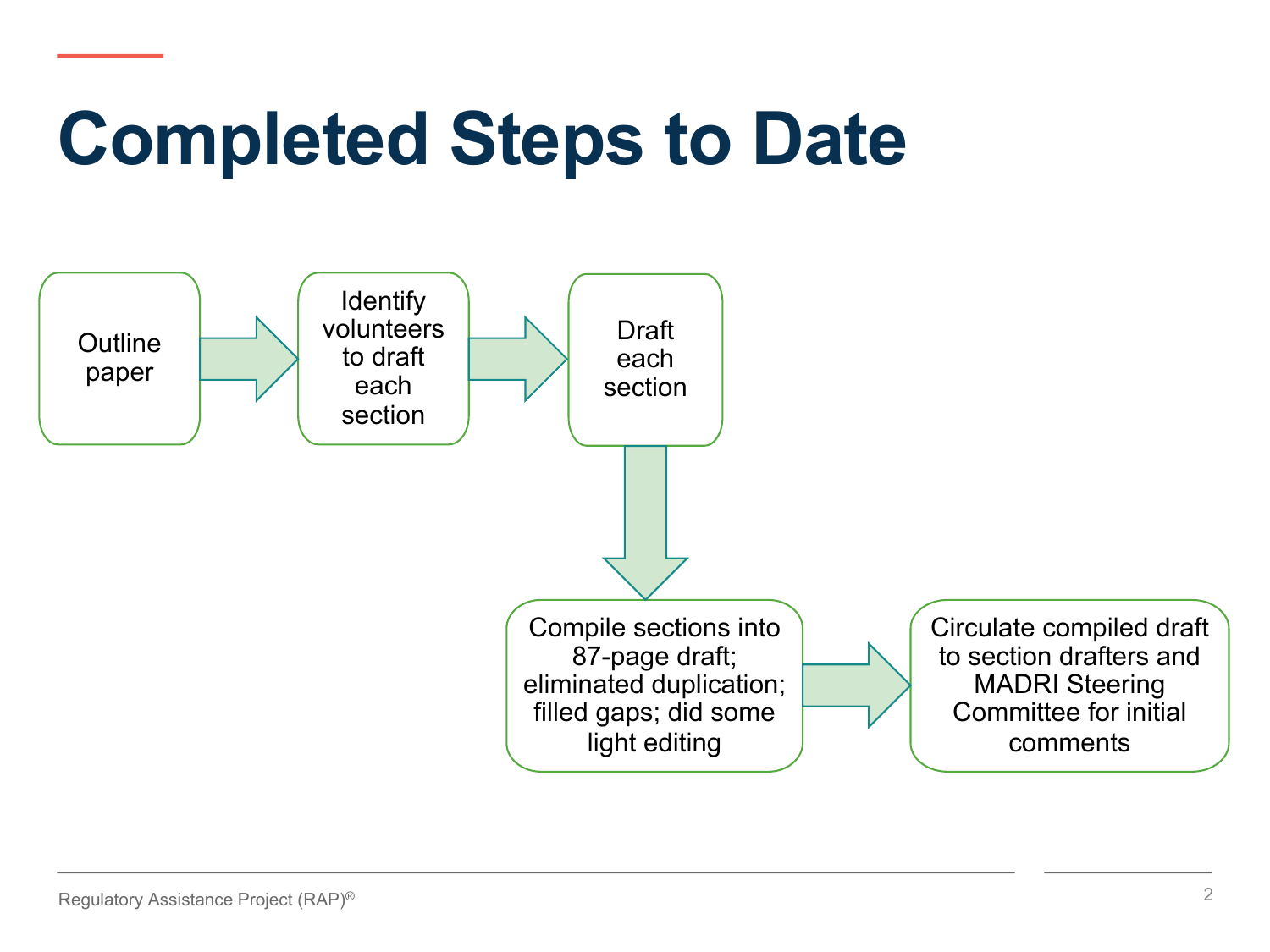# **Completed Steps to Date**

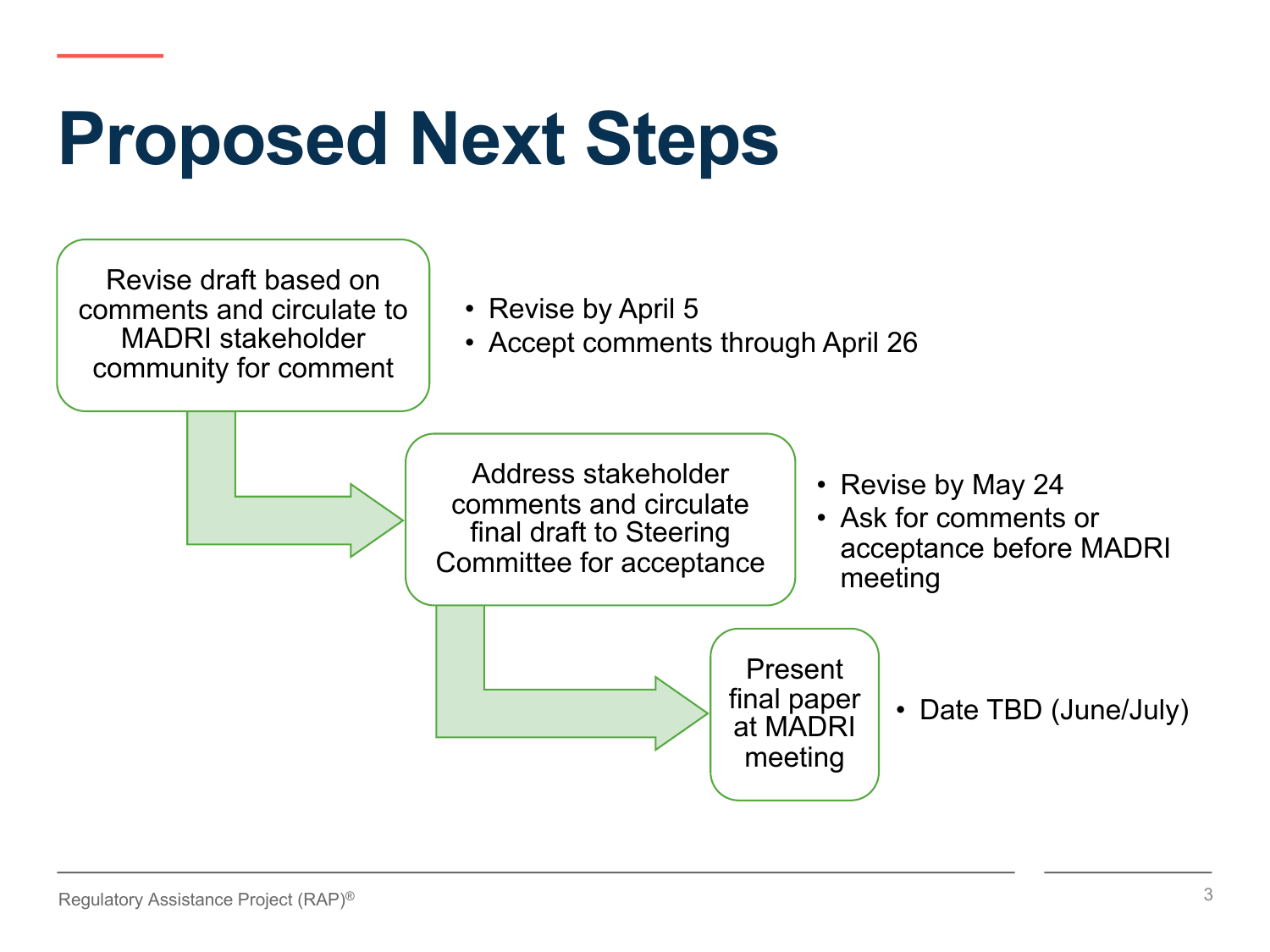## **Proposed Next Steps**

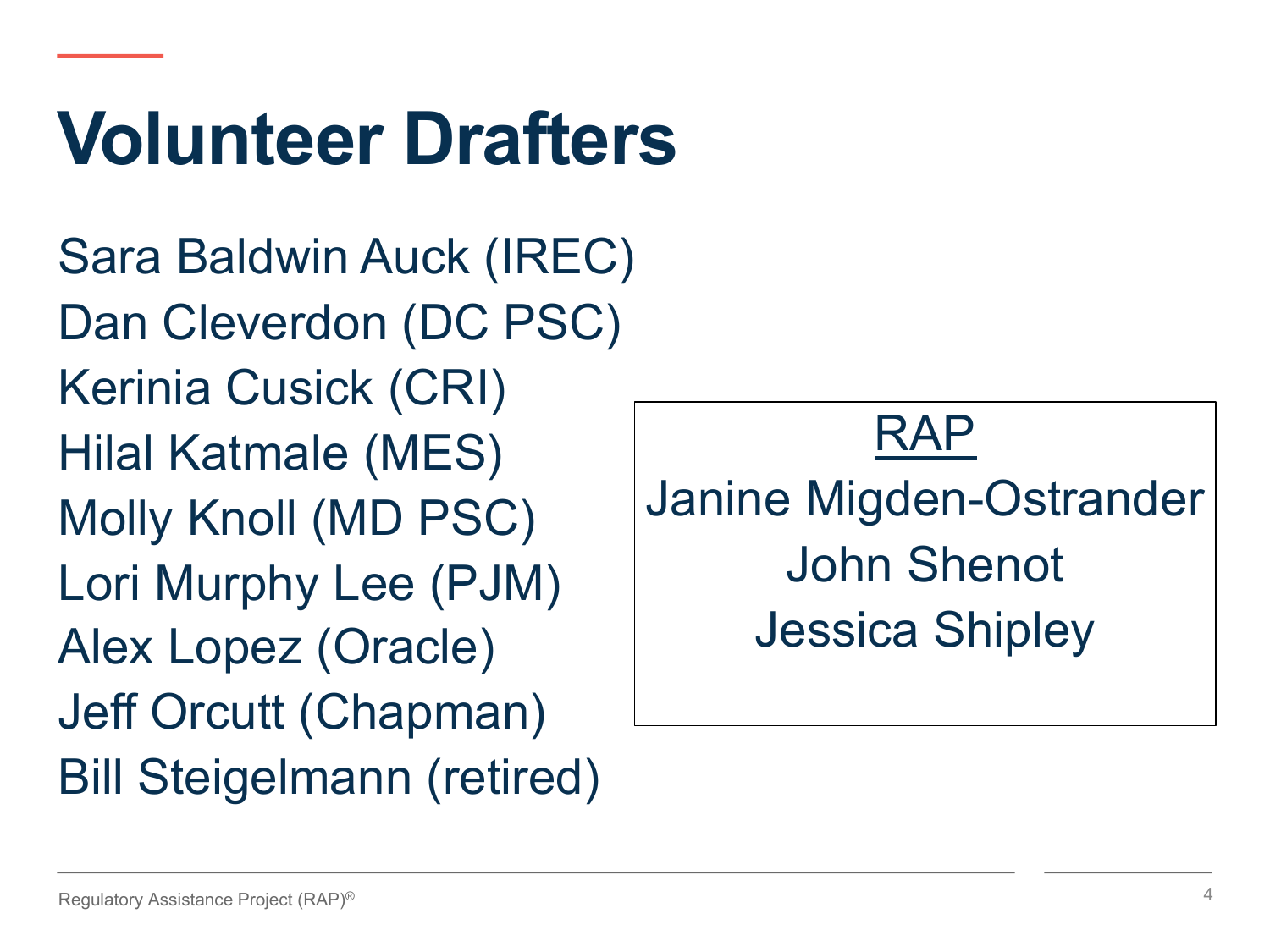# **Volunteer Drafters**

Sara Baldwin Auck (IREC) Dan Cleverdon (DC PSC) Kerinia Cusick (CRI) Hilal Katmale (MES) Molly Knoll (MD PSC) Lori Murphy Lee (PJM) Alex Lopez (Oracle) Jeff Orcutt (Chapman) Bill Steigelmann (retired)

RAP Janine Migden-Ostrander John Shenot Jessica Shipley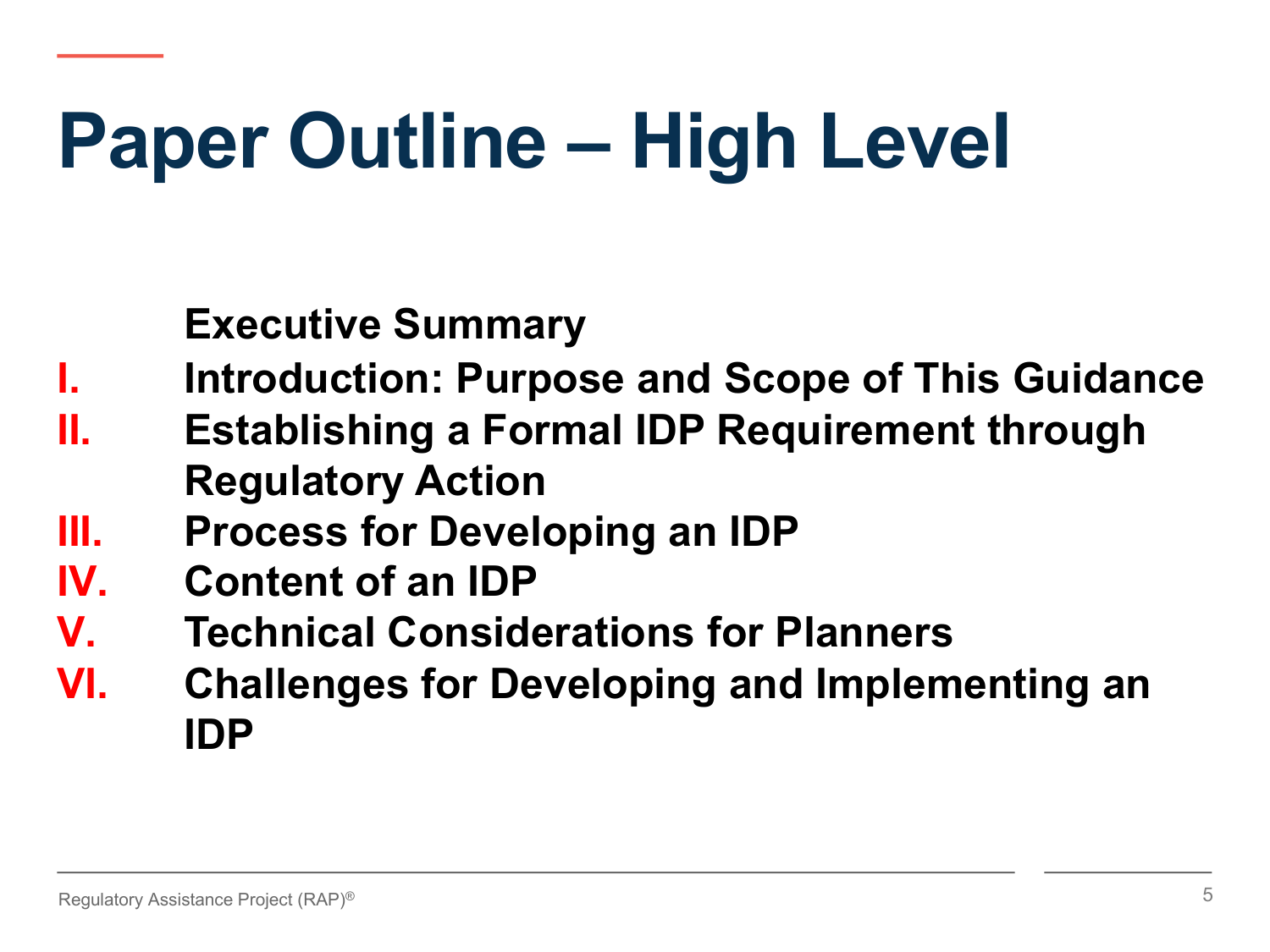# **Paper Outline – High Level**

**Executive Summary**

- **Introduction: Purpose and Scope of This Guidance**
- **II. Establishing a Formal IDP Requirement through Regulatory Action**
- **III. Process for Developing an IDP**
- **IV. Content of an IDP**
- **V. Technical Considerations for Planners**
- **VI. Challenges for Developing and Implementing an IDP**